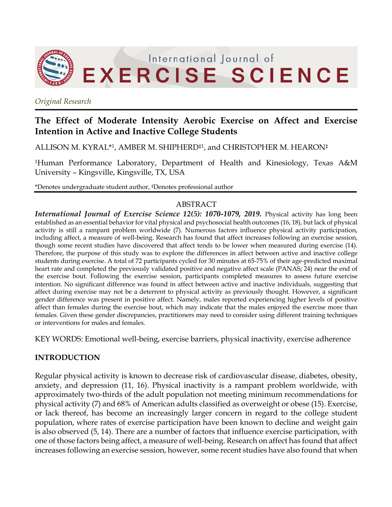

*Original Research*

# **The Effect of Moderate Intensity Aerobic Exercise on Affect and Exercise Intention in Active and Inactive College Students**

ALLISON M. KYRAL\*1, AMBER M. SHIPHERD‡1, and CHRISTOPHER M. HEARON‡

1Human Performance Laboratory, Department of Health and Kinesiology, Texas A&M University – Kingsville, Kingsville, TX, USA

\*Denotes undergraduate student author, ‡Denotes professional author

#### ABSTRACT

*International Journal of Exercise Science 12(5): 1070-1079, 2019.* Physical activity has long been established as an essential behavior for vital physical and psychosocial health outcomes (16, 18), but lack of physical activity is still a rampant problem worldwide (7). Numerous factors influence physical activity participation, including affect, a measure of well-being. Research has found that affect increases following an exercise session, though some recent studies have discovered that affect tends to be lower when measured during exercise (14). Therefore, the purpose of this study was to explore the differences in affect between active and inactive college students during exercise. A total of 72 participants cycled for 30 minutes at 65-75% of their age-predicted maximal heart rate and completed the previously validated positive and negative affect scale (PANAS; 24) near the end of the exercise bout. Following the exercise session, participants completed measures to assess future exercise intention. No significant difference was found in affect between active and inactive individuals, suggesting that affect during exercise may not be a deterrent to physical activity as previously thought. However, a significant gender difference was present in positive affect. Namely, males reported experiencing higher levels of positive affect than females during the exercise bout, which may indicate that the males enjoyed the exercise more than females. Given these gender discrepancies, practitioners may need to consider using different training techniques or interventions for males and females.

KEY WORDS: Emotional well-being, exercise barriers, physical inactivity, exercise adherence

# **INTRODUCTION**

Regular physical activity is known to decrease risk of cardiovascular disease, diabetes, obesity, anxiety, and depression (11, 16). Physical inactivity is a rampant problem worldwide, with approximately two-thirds of the adult population not meeting minimum recommendations for physical activity (7) and 68% of American adults classified as overweight or obese (15). Exercise, or lack thereof, has become an increasingly larger concern in regard to the college student population, where rates of exercise participation have been known to decline and weight gain is also observed (5, 14). There are a number of factors that influence exercise participation, with one of those factors being affect, a measure of well-being. Research on affect has found that affect increases following an exercise session, however, some recent studies have also found that when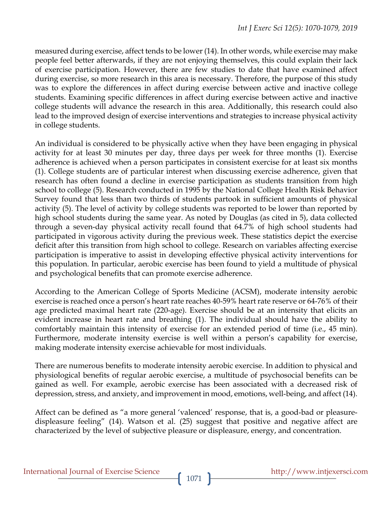measured during exercise, affect tends to be lower (14). In other words, while exercise may make people feel better afterwards, if they are not enjoying themselves, this could explain their lack of exercise participation. However, there are few studies to date that have examined affect during exercise, so more research in this area is necessary. Therefore, the purpose of this study was to explore the differences in affect during exercise between active and inactive college students. Examining specific differences in affect during exercise between active and inactive college students will advance the research in this area. Additionally, this research could also lead to the improved design of exercise interventions and strategies to increase physical activity in college students.

An individual is considered to be physically active when they have been engaging in physical activity for at least 30 minutes per day, three days per week for three months (1). Exercise adherence is achieved when a person participates in consistent exercise for at least six months (1). College students are of particular interest when discussing exercise adherence, given that research has often found a decline in exercise participation as students transition from high school to college (5). Research conducted in 1995 by the National College Health Risk Behavior Survey found that less than two thirds of students partook in sufficient amounts of physical activity (5). The level of activity by college students was reported to be lower than reported by high school students during the same year. As noted by Douglas (as cited in 5), data collected through a seven-day physical activity recall found that 64.7% of high school students had participated in vigorous activity during the previous week. These statistics depict the exercise deficit after this transition from high school to college. Research on variables affecting exercise participation is imperative to assist in developing effective physical activity interventions for this population. In particular, aerobic exercise has been found to yield a multitude of physical and psychological benefits that can promote exercise adherence.

According to the American College of Sports Medicine (ACSM), moderate intensity aerobic exercise is reached once a person's heart rate reaches 40-59% heart rate reserve or 64-76% of their age predicted maximal heart rate (220-age). Exercise should be at an intensity that elicits an evident increase in heart rate and breathing (1). The individual should have the ability to comfortably maintain this intensity of exercise for an extended period of time (i.e., 45 min). Furthermore, moderate intensity exercise is well within a person's capability for exercise, making moderate intensity exercise achievable for most individuals.

There are numerous benefits to moderate intensity aerobic exercise. In addition to physical and physiological benefits of regular aerobic exercise, a multitude of psychosocial benefits can be gained as well. For example, aerobic exercise has been associated with a decreased risk of depression, stress, and anxiety, and improvement in mood, emotions, well-being, and affect (14).

Affect can be defined as "a more general 'valenced' response, that is, a good-bad or pleasuredispleasure feeling" (14). Watson et al. (25) suggest that positive and negative affect are characterized by the level of subjective pleasure or displeasure, energy, and concentration.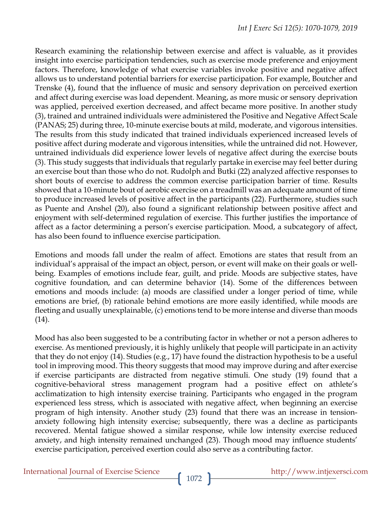Research examining the relationship between exercise and affect is valuable, as it provides insight into exercise participation tendencies, such as exercise mode preference and enjoyment factors. Therefore, knowledge of what exercise variables invoke positive and negative affect allows us to understand potential barriers for exercise participation. For example, Boutcher and Trenske (4), found that the influence of music and sensory deprivation on perceived exertion and affect during exercise was load dependent. Meaning, as more music or sensory deprivation was applied, perceived exertion decreased, and affect became more positive. In another study (3), trained and untrained individuals were administered the Positive and Negative Affect Scale (PANAS; 25) during three, 10-minute exercise bouts at mild, moderate, and vigorous intensities. The results from this study indicated that trained individuals experienced increased levels of positive affect during moderate and vigorous intensities, while the untrained did not. However, untrained individuals did experience lower levels of negative affect during the exercise bouts (3). This study suggests that individuals that regularly partake in exercise may feel better during an exercise bout than those who do not. Rudolph and Butki (22) analyzed affective responses to short bouts of exercise to address the common exercise participation barrier of time. Results showed that a 10-minute bout of aerobic exercise on a treadmill was an adequate amount of time to produce increased levels of positive affect in the participants (22). Furthermore, studies such as Puente and Anshel (20), also found a significant relationship between positive affect and enjoyment with self-determined regulation of exercise. This further justifies the importance of affect as a factor determining a person's exercise participation. Mood, a subcategory of affect, has also been found to influence exercise participation.

Emotions and moods fall under the realm of affect. Emotions are states that result from an individual's appraisal of the impact an object, person, or event will make on their goals or wellbeing. Examples of emotions include fear, guilt, and pride. Moods are subjective states, have cognitive foundation, and can determine behavior (14). Some of the differences between emotions and moods include: (a) moods are classified under a longer period of time, while emotions are brief, (b) rationale behind emotions are more easily identified, while moods are fleeting and usually unexplainable, (c) emotions tend to be more intense and diverse than moods (14).

Mood has also been suggested to be a contributing factor in whether or not a person adheres to exercise. As mentioned previously, it is highly unlikely that people will participate in an activity that they do not enjoy (14). Studies (e.g., 17) have found the distraction hypothesis to be a useful tool in improving mood. This theory suggests that mood may improve during and after exercise if exercise participants are distracted from negative stimuli. One study (19) found that a cognitive-behavioral stress management program had a positive effect on athlete's acclimatization to high intensity exercise training. Participants who engaged in the program experienced less stress, which is associated with negative affect, when beginning an exercise program of high intensity. Another study (23) found that there was an increase in tensionanxiety following high intensity exercise; subsequently, there was a decline as participants recovered. Mental fatigue showed a similar response, while low intensity exercise reduced anxiety, and high intensity remained unchanged (23). Though mood may influence students' exercise participation, perceived exertion could also serve as a contributing factor.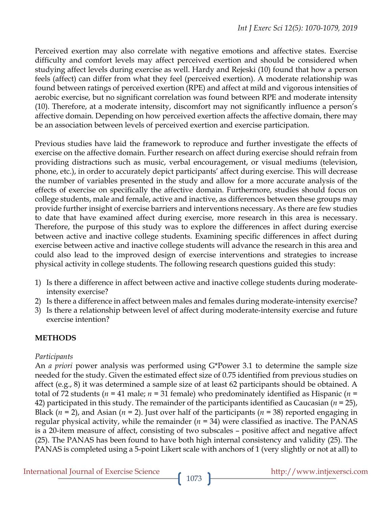Perceived exertion may also correlate with negative emotions and affective states. Exercise difficulty and comfort levels may affect perceived exertion and should be considered when studying affect levels during exercise as well. Hardy and Rejeski (10) found that how a person feels (affect) can differ from what they feel (perceived exertion). A moderate relationship was found between ratings of perceived exertion (RPE) and affect at mild and vigorous intensities of aerobic exercise, but no significant correlation was found between RPE and moderate intensity (10). Therefore, at a moderate intensity, discomfort may not significantly influence a person's affective domain. Depending on how perceived exertion affects the affective domain, there may be an association between levels of perceived exertion and exercise participation.

Previous studies have laid the framework to reproduce and further investigate the effects of exercise on the affective domain. Further research on affect during exercise should refrain from providing distractions such as music, verbal encouragement, or visual mediums (television, phone, etc.), in order to accurately depict participants' affect during exercise. This will decrease the number of variables presented in the study and allow for a more accurate analysis of the effects of exercise on specifically the affective domain. Furthermore, studies should focus on college students, male and female, active and inactive, as differences between these groups may provide further insight of exercise barriers and interventions necessary. As there are few studies to date that have examined affect during exercise, more research in this area is necessary. Therefore, the purpose of this study was to explore the differences in affect during exercise between active and inactive college students. Examining specific differences in affect during exercise between active and inactive college students will advance the research in this area and could also lead to the improved design of exercise interventions and strategies to increase physical activity in college students. The following research questions guided this study:

- 1) Is there a difference in affect between active and inactive college students during moderateintensity exercise?
- 2) Is there a difference in affect between males and females during moderate-intensity exercise?
- 3) Is there a relationship between level of affect during moderate-intensity exercise and future exercise intention?

# **METHODS**

## *Participants*

An *a priori* power analysis was performed using G\*Power 3.1 to determine the sample size needed for the study. Given the estimated effect size of 0.75 identified from previous studies on affect (e.g., 8) it was determined a sample size of at least 62 participants should be obtained. A total of 72 students (*n* = 41 male; *n* = 31 female) who predominately identified as Hispanic (*n* = 42) participated in this study. The remainder of the participants identified as Caucasian (*n* = 25), Black ( $n = 2$ ), and Asian ( $n = 2$ ). Just over half of the participants ( $n = 38$ ) reported engaging in regular physical activity, while the remainder (*n* = 34) were classified as inactive. The PANAS is a 20-item measure of affect, consisting of two subscales – positive affect and negative affect (25). The PANAS has been found to have both high internal consistency and validity (25). The PANAS is completed using a 5-point Likert scale with anchors of 1 (very slightly or not at all) to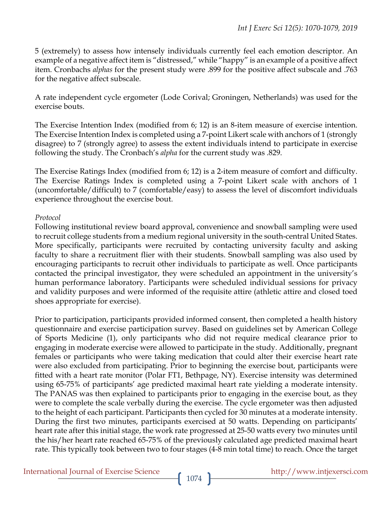5 (extremely) to assess how intensely individuals currently feel each emotion descriptor. An example of a negative affect item is "distressed," while "happy" is an example of a positive affect item. Cronbachs *alphas* for the present study were .899 for the positive affect subscale and .763 for the negative affect subscale.

A rate independent cycle ergometer (Lode Corival; Groningen, Netherlands) was used for the exercise bouts.

The Exercise Intention Index (modified from 6; 12) is an 8-item measure of exercise intention. The Exercise Intention Index is completed using a 7-point Likert scale with anchors of 1 (strongly disagree) to 7 (strongly agree) to assess the extent individuals intend to participate in exercise following the study. The Cronbach's *alpha* for the current study was .829.

The Exercise Ratings Index (modified from 6; 12) is a 2-item measure of comfort and difficulty. The Exercise Ratings Index is completed using a 7-point Likert scale with anchors of 1 (uncomfortable/difficult) to 7 (comfortable/easy) to assess the level of discomfort individuals experience throughout the exercise bout.

#### *Protocol*

Following institutional review board approval, convenience and snowball sampling were used to recruit college students from a medium regional university in the south-central United States. More specifically, participants were recruited by contacting university faculty and asking faculty to share a recruitment flier with their students. Snowball sampling was also used by encouraging participants to recruit other individuals to participate as well. Once participants contacted the principal investigator, they were scheduled an appointment in the university's human performance laboratory. Participants were scheduled individual sessions for privacy and validity purposes and were informed of the requisite attire (athletic attire and closed toed shoes appropriate for exercise).

Prior to participation, participants provided informed consent, then completed a health history questionnaire and exercise participation survey. Based on guidelines set by American College of Sports Medicine (1), only participants who did not require medical clearance prior to engaging in moderate exercise were allowed to participate in the study. Additionally, pregnant females or participants who were taking medication that could alter their exercise heart rate were also excluded from participating. Prior to beginning the exercise bout, participants were fitted with a heart rate monitor (Polar FT1, Bethpage, NY). Exercise intensity was determined using 65-75% of participants' age predicted maximal heart rate yielding a moderate intensity. The PANAS was then explained to participants prior to engaging in the exercise bout, as they were to complete the scale verbally during the exercise. The cycle ergometer was then adjusted to the height of each participant. Participants then cycled for 30 minutes at a moderate intensity. During the first two minutes, participants exercised at 50 watts. Depending on participants' heart rate after this initial stage, the work rate progressed at 25-50 watts every two minutes until the his/her heart rate reached 65-75% of the previously calculated age predicted maximal heart rate. This typically took between two to four stages (4-8 min total time) to reach. Once the target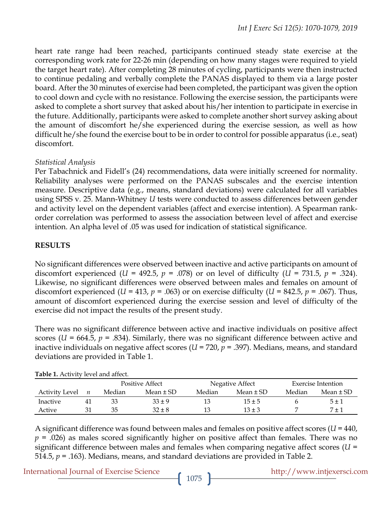heart rate range had been reached, participants continued steady state exercise at the corresponding work rate for 22-26 min (depending on how many stages were required to yield the target heart rate). After completing 28 minutes of cycling, participants were then instructed to continue pedaling and verbally complete the PANAS displayed to them via a large poster board. After the 30 minutes of exercise had been completed, the participant was given the option to cool down and cycle with no resistance. Following the exercise session, the participants were asked to complete a short survey that asked about his/her intention to participate in exercise in the future. Additionally, participants were asked to complete another short survey asking about the amount of discomfort he/she experienced during the exercise session, as well as how difficult he/she found the exercise bout to be in order to control for possible apparatus (i.e., seat) discomfort.

## *Statistical Analysis*

Per Tabachnick and Fidell's (24) recommendations, data were initially screened for normality. Reliability analyses were performed on the PANAS subscales and the exercise intention measure. Descriptive data (e.g., means, standard deviations) were calculated for all variables using SPSS v. 25. Mann-Whitney *U* tests were conducted to assess differences between gender and activity level on the dependent variables (affect and exercise intention). A Spearman rankorder correlation was performed to assess the association between level of affect and exercise intention. An alpha level of .05 was used for indication of statistical significance.

## **RESULTS**

No significant differences were observed between inactive and active participants on amount of discomfort experienced (*U* = 492.5,  $p = .078$ ) or on level of difficulty (*U* = 731.5,  $p = .324$ ). Likewise, no significant differences were observed between males and females on amount of discomfort experienced (*U* = 413,  $p = .063$ ) or on exercise difficulty (*U* = 842.5,  $p = .067$ ). Thus, amount of discomfort experienced during the exercise session and level of difficulty of the exercise did not impact the results of the present study.

There was no significant difference between active and inactive individuals on positive affect scores ( $U = 664.5$ ,  $p = .834$ ). Similarly, there was no significant difference between active and inactive individuals on negative affect scores (*U* = 720, *p* = .397). Medians, means, and standard deviations are provided in Table 1.

| <b>TUDIC I.</b> TRUPIC ICTURE AND THE |                  |                        |               |                 |               |                           |               |  |  |  |  |  |
|---------------------------------------|------------------|------------------------|---------------|-----------------|---------------|---------------------------|---------------|--|--|--|--|--|
|                                       |                  | <b>Positive Affect</b> |               | Negative Affect |               | <b>Exercise Intention</b> |               |  |  |  |  |  |
| Activity Level                        | $\boldsymbol{n}$ | Median                 | Mean $\pm$ SD | Median          | Mean $\pm$ SD | Median                    | Mean $\pm$ SD |  |  |  |  |  |
| <i>Inactive</i>                       | 41               | 33                     | $33 + 9$      | 13              | $15 \pm 5$    |                           | 5±1           |  |  |  |  |  |
| Active                                | 31               | 35                     | $32 \pm 8$    | 13              | $13 \pm 3$    |                           | $7 \pm 1$     |  |  |  |  |  |

**Table 1.** Activity level and affect.

A significant difference was found between males and females on positive affect scores (*U* = 440, *p* = .026) as males scored significantly higher on positive affect than females. There was no significant difference between males and females when comparing negative affect scores (*U* = 514.5, *p* = .163). Medians, means, and standard deviations are provided in Table 2.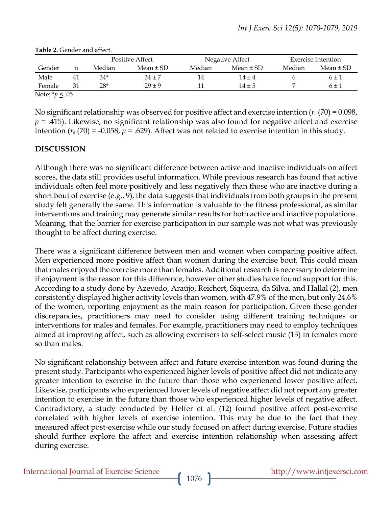|        |    |        | <b>Positive Affect</b> |        | Negative Affect |        | Exercise Intention |  |
|--------|----|--------|------------------------|--------|-----------------|--------|--------------------|--|
| Gender | n  | Median | Mean $\pm$ SD          | Median | Mean $\pm$ SD   | Median | Mean $\pm$ SD      |  |
| Male   | 41 | 34*    | $34 \pm 7$             | 14     | $14 + 4$        |        | $6 \pm 1$          |  |
| Female | 31 | 28*    | $29 + 9$               |        | $14 + 5$        |        | 6 ± 1              |  |

#### **Table 2.** Gender and affect.

Note: \**p* < .05

No significant relationship was observed for positive affect and exercise intention (*rs* (70) = 0.098, *p* = .415). Likewise, no significant relationship was also found for negative affect and exercise intention  $(r_s(70) = -0.058, p = .629)$ . Affect was not related to exercise intention in this study.

## **DISCUSSION**

Although there was no significant difference between active and inactive individuals on affect scores, the data still provides useful information. While previous research has found that active individuals often feel more positively and less negatively than those who are inactive during a short bout of exercise (e.g., 9), the data suggests that individuals from both groups in the present study felt generally the same. This information is valuable to the fitness professional, as similar interventions and training may generate similar results for both active and inactive populations. Meaning, that the barrier for exercise participation in our sample was not what was previously thought to be affect during exercise.

There was a significant difference between men and women when comparing positive affect. Men experienced more positive affect than women during the exercise bout. This could mean that males enjoyed the exercise more than females. Additional research is necessary to determine if enjoyment is the reason for this difference, however other studies have found support for this. According to a study done by Azevedo, Araújo, Reichert, Siqueira, da Silva, and Hallal (2), men consistently displayed higher activity levels than women, with 47.9% of the men, but only 24.6% of the women, reporting enjoyment as the main reason for participation. Given these gender discrepancies, practitioners may need to consider using different training techniques or interventions for males and females. For example, practitioners may need to employ techniques aimed at improving affect, such as allowing exercisers to self-select music (13) in females more so than males.

No significant relationship between affect and future exercise intention was found during the present study. Participants who experienced higher levels of positive affect did not indicate any greater intention to exercise in the future than those who experienced lower positive affect. Likewise, participants who experienced lower levels of negative affect did not report any greater intention to exercise in the future than those who experienced higher levels of negative affect. Contradictory, a study conducted by Helfer et al. (12) found positive affect post-exercise correlated with higher levels of exercise intention. This may be due to the fact that they measured affect post-exercise while our study focused on affect during exercise. Future studies should further explore the affect and exercise intention relationship when assessing affect during exercise.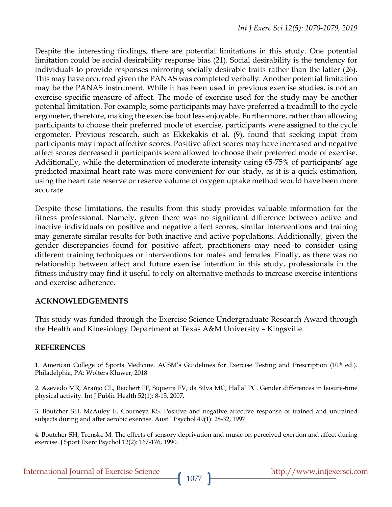Despite the interesting findings, there are potential limitations in this study. One potential limitation could be social desirability response bias (21). Social desirability is the tendency for individuals to provide responses mirroring socially desirable traits rather than the latter (26). This may have occurred given the PANAS was completed verbally. Another potential limitation may be the PANAS instrument. While it has been used in previous exercise studies, is not an exercise specific measure of affect. The mode of exercise used for the study may be another potential limitation. For example, some participants may have preferred a treadmill to the cycle ergometer, therefore, making the exercise bout less enjoyable. Furthermore, rather than allowing participants to choose their preferred mode of exercise, participants were assigned to the cycle ergometer. Previous research, such as Ekkekakis et al. (9), found that seeking input from participants may impact affective scores. Positive affect scores may have increased and negative affect scores decreased if participants were allowed to choose their preferred mode of exercise. Additionally, while the determination of moderate intensity using 65-75% of participants' age predicted maximal heart rate was more convenient for our study, as it is a quick estimation, using the heart rate reserve or reserve volume of oxygen uptake method would have been more accurate.

Despite these limitations, the results from this study provides valuable information for the fitness professional. Namely, given there was no significant difference between active and inactive individuals on positive and negative affect scores, similar interventions and training may generate similar results for both inactive and active populations. Additionally, given the gender discrepancies found for positive affect, practitioners may need to consider using different training techniques or interventions for males and females. Finally, as there was no relationship between affect and future exercise intention in this study, professionals in the fitness industry may find it useful to rely on alternative methods to increase exercise intentions and exercise adherence.

#### **ACKNOWLEDGEMENTS**

This study was funded through the Exercise Science Undergraduate Research Award through the Health and Kinesiology Department at Texas A&M University – Kingsville.

#### **REFERENCES**

1. American College of Sports Medicine. ACSM's Guidelines for Exercise Testing and Prescription (10th ed.). Philadelphia, PA: Wolters Kluwer; 2018.

2. Azevedo MR, Araújo CL, Reichert FF, Siqueira FV, da Silva MC, Hallal PC. Gender differences in leisure-time physical activity. Int J Public Health 52(1): 8-15, 2007.

3. Boutcher SH, McAuley E, Courneya KS. Positive and negative affective response of trained and untrained subjects during and after aerobic exercise. Aust J Psychol 49(1): 28-32, 1997.

4. Boutcher SH, Trenske M. The effects of sensory deprivation and music on perceived exertion and affect during exercise. J Sport Exerc Psychol 12(2): 167-176, 1990.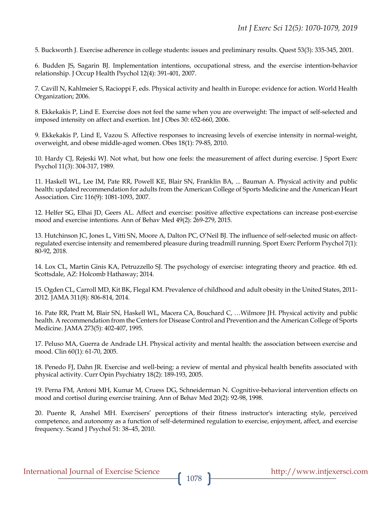5. Buckworth J. Exercise adherence in college students: issues and preliminary results. Quest 53(3): 335-345, 2001.

6. Budden JS, Sagarin BJ. Implementation intentions, occupational stress, and the exercise intention-behavior relationship. J Occup Health Psychol 12(4): 391-401, 2007.

7. Cavill N, Kahlmeier S, Racioppi F, eds. Physical activity and health in Europe: evidence for action. World Health Organization; 2006.

8. Ekkekakis P, Lind E. Exercise does not feel the same when you are overweight: The impact of self-selected and imposed intensity on affect and exertion. Int J Obes 30: 652-660, 2006.

9. Ekkekakis P, Lind E, Vazou S. Affective responses to increasing levels of exercise intensity in normal-weight, overweight, and obese middle-aged women. Obes 18(1): 79-85, 2010.

10. Hardy CJ, Rejeski WJ. Not what, but how one feels: the measurement of affect during exercise. J Sport Exerc Psychol 11(3): 304-317, 1989.

11. Haskell WL, Lee IM, Pate RR, Powell KE, Blair SN, Franklin BA, ... Bauman A. Physical activity and public health: updated recommendation for adults from the American College of Sports Medicine and the American Heart Association. Circ 116(9): 1081-1093, 2007.

12. Helfer SG, Elhai JD, Geers AL. Affect and exercise: positive affective expectations can increase post-exercise mood and exercise intentions. Ann of Behav Med 49(2): 269-279, 2015.

13. Hutchinson JC, Jones L, Vitti SN, Moore A, Dalton PC, O'Neil BJ. The influence of self-selected music on affectregulated exercise intensity and remembered pleasure during treadmill running. Sport Exerc Perform Psychol 7(1): 80-92, 2018.

14. Lox CL, Martin Ginis KA, Petruzzello SJ. The psychology of exercise: integrating theory and practice. 4th ed. Scottsdale, AZ: Holcomb Hathaway; 2014.

15. Ogden CL, Carroll MD, Kit BK, Flegal KM. Prevalence of childhood and adult obesity in the United States, 2011- 2012. JAMA 311(8): 806-814, 2014.

16. Pate RR, Pratt M, Blair SN, Haskell WL, Macera CA, Bouchard C, …Wilmore JH. Physical activity and public health. A recommendation from the Centers for Disease Control and Prevention and the American College of Sports Medicine. JAMA 273(5): 402-407, 1995.

17. Peluso MA, Guerra de Andrade LH. Physical activity and mental health: the association between exercise and mood. Clin 60(1): 61-70, 2005.

18. Penedo FJ, Dahn JR. Exercise and well-being: a review of mental and physical health benefits associated with physical activity. Curr Opin Psychiatry 18(2): 189-193, 2005.

19. Perna FM, Antoni MH, Kumar M, Cruess DG, Schneiderman N. Cognitive-behavioral intervention effects on mood and cortisol during exercise training. Ann of Behav Med 20(2): 92-98, 1998.

20. Puente R, Anshel MH. Exercisers' perceptions of their fitness instructor's interacting style, perceived competence, and autonomy as a function of self-determined regulation to exercise, enjoyment, affect, and exercise frequency. Scand J Psychol 51: 38–45, 2010.